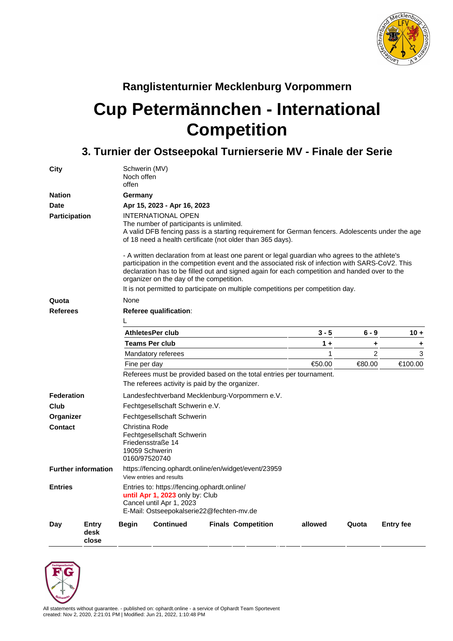

## **Ranglistenturnier Mecklenburg Vorpommern**

## **Cup Petermännchen - International Competition**

## **3. Turnier der Ostseepokal Turnierserie MV - Finale der Serie**

| City                                         |                        | Schwerin (MV)<br>Noch offen<br>offen                                                                                                                                                                                                                                                                                                                                                                                                |                             |  |                           |                |         |                  |  |  |
|----------------------------------------------|------------------------|-------------------------------------------------------------------------------------------------------------------------------------------------------------------------------------------------------------------------------------------------------------------------------------------------------------------------------------------------------------------------------------------------------------------------------------|-----------------------------|--|---------------------------|----------------|---------|------------------|--|--|
| <b>Nation</b>                                |                        | Germany                                                                                                                                                                                                                                                                                                                                                                                                                             |                             |  |                           |                |         |                  |  |  |
| <b>Date</b>                                  |                        |                                                                                                                                                                                                                                                                                                                                                                                                                                     | Apr 15, 2023 - Apr 16, 2023 |  |                           |                |         |                  |  |  |
| Participation                                |                        | <b>INTERNATIONAL OPEN</b><br>The number of participants is unlimited.<br>A valid DFB fencing pass is a starting requirement for German fencers. Adolescents under the age<br>of 18 need a health certificate (not older than 365 days).                                                                                                                                                                                             |                             |  |                           |                |         |                  |  |  |
|                                              |                        | - A written declaration from at least one parent or legal guardian who agrees to the athlete's<br>participation in the competition event and the associated risk of infection with SARS-CoV2. This<br>declaration has to be filled out and signed again for each competition and handed over to the<br>organizer on the day of the competition.<br>It is not permitted to participate on multiple competitions per competition day. |                             |  |                           |                |         |                  |  |  |
| Quota                                        |                        | None                                                                                                                                                                                                                                                                                                                                                                                                                                |                             |  |                           |                |         |                  |  |  |
| <b>Referees</b>                              |                        | Referee qualification:<br>L                                                                                                                                                                                                                                                                                                                                                                                                         |                             |  |                           |                |         |                  |  |  |
|                                              |                        |                                                                                                                                                                                                                                                                                                                                                                                                                                     | <b>AthletesPer club</b>     |  |                           | $3 - 5$        | $6 - 9$ | $10 +$           |  |  |
|                                              |                        |                                                                                                                                                                                                                                                                                                                                                                                                                                     | <b>Teams Per club</b>       |  | 1 +                       | ٠              | ٠       |                  |  |  |
|                                              |                        |                                                                                                                                                                                                                                                                                                                                                                                                                                     | Mandatory referees          |  | 1                         | $\overline{2}$ | 3       |                  |  |  |
|                                              |                        | Fine per day                                                                                                                                                                                                                                                                                                                                                                                                                        |                             |  | €50.00                    | €80.00         | €100.00 |                  |  |  |
|                                              |                        | Referees must be provided based on the total entries per tournament.<br>The referees activity is paid by the organizer.                                                                                                                                                                                                                                                                                                             |                             |  |                           |                |         |                  |  |  |
| <b>Federation</b>                            |                        | Landesfechtverband Mecklenburg-Vorpommern e.V.                                                                                                                                                                                                                                                                                                                                                                                      |                             |  |                           |                |         |                  |  |  |
| Club                                         |                        | Fechtgesellschaft Schwerin e.V.                                                                                                                                                                                                                                                                                                                                                                                                     |                             |  |                           |                |         |                  |  |  |
| Organizer                                    |                        | Fechtgesellschaft Schwerin                                                                                                                                                                                                                                                                                                                                                                                                          |                             |  |                           |                |         |                  |  |  |
| Contact                                      |                        | Christina Rode<br>Fechtgesellschaft Schwerin<br>Friedensstraße 14<br>19059 Schwerin<br>0160/97520740                                                                                                                                                                                                                                                                                                                                |                             |  |                           |                |         |                  |  |  |
| <b>Further information</b><br><b>Entries</b> |                        | https://fencing.ophardt.online/en/widget/event/23959<br>View entries and results                                                                                                                                                                                                                                                                                                                                                    |                             |  |                           |                |         |                  |  |  |
|                                              |                        | Entries to: https://fencing.ophardt.online/<br>until Apr 1, 2023 only by: Club<br>Cancel until Apr 1, 2023<br>E-Mail: Ostseepokalserie22@fechten-mv.de                                                                                                                                                                                                                                                                              |                             |  |                           |                |         |                  |  |  |
| Day                                          | Entry<br>desk<br>close | Begin                                                                                                                                                                                                                                                                                                                                                                                                                               | <b>Continued</b>            |  | <b>Finals Competition</b> | allowed        | Quota   | <b>Entry fee</b> |  |  |

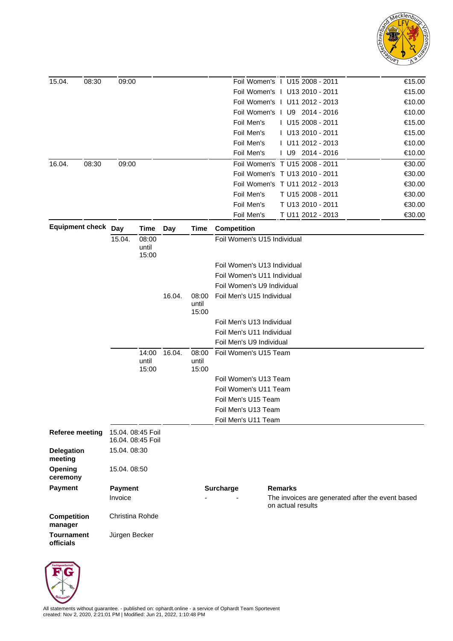

| 15.04.                                                           | 08:30       | 09:00                     |                         |        |                         |                             | Foil Women's 1 U15 2008 - 2011                                                          |  | €15.00 |
|------------------------------------------------------------------|-------------|---------------------------|-------------------------|--------|-------------------------|-----------------------------|-----------------------------------------------------------------------------------------|--|--------|
|                                                                  |             |                           |                         |        |                         |                             | Foil Women's   U13 2010 - 2011                                                          |  | €15.00 |
|                                                                  |             |                           |                         |        |                         |                             | Foil Women's 1 U11 2012 - 2013                                                          |  | €10.00 |
|                                                                  |             |                           |                         |        |                         |                             | Foil Women's 1 U9 2014 - 2016                                                           |  | €10.00 |
|                                                                  |             |                           |                         |        |                         | Foil Men's                  | I U15 2008 - 2011                                                                       |  | €15.00 |
|                                                                  |             |                           |                         |        |                         | Foil Men's                  | I U13 2010 - 2011                                                                       |  | €15.00 |
|                                                                  |             |                           |                         |        |                         | Foil Men's                  | I U11 2012 - 2013                                                                       |  | €10.00 |
|                                                                  |             |                           |                         |        |                         | Foil Men's                  | I U9 2014 - 2016                                                                        |  | €10.00 |
| 16.04.                                                           | 08:30       | 09:00                     |                         |        |                         |                             | Foil Women's T U15 2008 - 2011                                                          |  | €30.00 |
|                                                                  |             |                           |                         |        |                         |                             | Foil Women's T U13 2010 - 2011                                                          |  | €30.00 |
|                                                                  |             |                           |                         |        |                         |                             | Foil Women's T U11 2012 - 2013                                                          |  | €30.00 |
|                                                                  |             |                           |                         |        |                         | Foil Men's                  | T U15 2008 - 2011                                                                       |  | €30.00 |
|                                                                  |             |                           |                         |        |                         | Foil Men's                  | T U13 2010 - 2011                                                                       |  | €30.00 |
|                                                                  |             |                           |                         |        |                         | Foil Men's                  | T U11 2012 - 2013                                                                       |  | €30.00 |
| Equipment check Day                                              |             |                           | <b>Time</b>             | Day    | Time                    | Competition                 |                                                                                         |  |        |
|                                                                  |             | 15.04.                    | 08:00<br>until<br>15:00 |        |                         | Foil Women's U15 Individual |                                                                                         |  |        |
|                                                                  |             |                           |                         |        |                         | Foil Women's U13 Individual |                                                                                         |  |        |
|                                                                  |             |                           |                         |        |                         | Foil Women's U11 Individual |                                                                                         |  |        |
|                                                                  |             |                           |                         |        |                         | Foil Women's U9 Individual  |                                                                                         |  |        |
|                                                                  |             |                           |                         | 16.04. | 08:00<br>until<br>15:00 | Foil Men's U15 Individual   |                                                                                         |  |        |
|                                                                  |             |                           |                         |        |                         | Foil Men's U13 Individual   |                                                                                         |  |        |
|                                                                  |             |                           |                         |        |                         | Foil Men's U11 Individual   |                                                                                         |  |        |
|                                                                  |             |                           |                         |        |                         | Foil Men's U9 Individual    |                                                                                         |  |        |
|                                                                  |             |                           | 14:00<br>until<br>15:00 | 16.04. | 08:00<br>until<br>15:00 | Foil Women's U15 Team       |                                                                                         |  |        |
|                                                                  |             |                           |                         |        |                         | Foil Women's U13 Team       |                                                                                         |  |        |
|                                                                  |             |                           |                         |        |                         | Foil Women's U11 Team       |                                                                                         |  |        |
|                                                                  |             |                           |                         |        |                         | Foil Men's U15 Team         |                                                                                         |  |        |
|                                                                  |             |                           |                         |        |                         | Foil Men's U13 Team         |                                                                                         |  |        |
|                                                                  |             |                           |                         |        |                         | Foil Men's U11 Team         |                                                                                         |  |        |
| 15.04. 08:45 Foil<br><b>Referee meeting</b><br>16.04. 08:45 Foil |             |                           |                         |        |                         |                             |                                                                                         |  |        |
| <b>Delegation</b><br>meeting                                     | 15.04.08:30 |                           |                         |        |                         |                             |                                                                                         |  |        |
| Opening<br>ceremony                                              |             | 15.04.08:50               |                         |        |                         |                             |                                                                                         |  |        |
| <b>Payment</b>                                                   |             | <b>Payment</b><br>Invoice |                         |        |                         | <b>Surcharge</b>            | <b>Remarks</b><br>The invoices are generated after the event based<br>on actual results |  |        |
| <b>Competition</b><br>manager                                    |             | Christina Rohde           |                         |        |                         |                             |                                                                                         |  |        |
| <b>Tournament</b><br>Jürgen Becker<br><b>officials</b>           |             |                           |                         |        |                         |                             |                                                                                         |  |        |
|                                                                  |             |                           |                         |        |                         |                             |                                                                                         |  |        |



All statements without guarantee. - published on: ophardt.online - a service of Ophardt Team Sportevent created: Nov 2, 2020, 2:21:01 PM | Modified: Jun 21, 2022, 1:10:48 PM